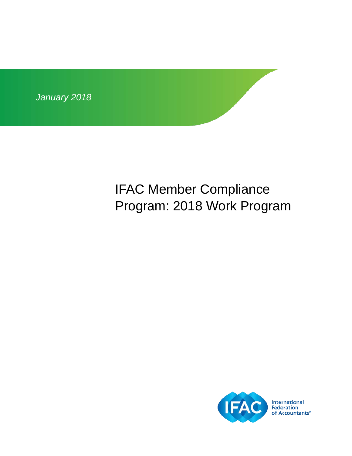

# IFAC Member Compliance Program: 2018 Work Program

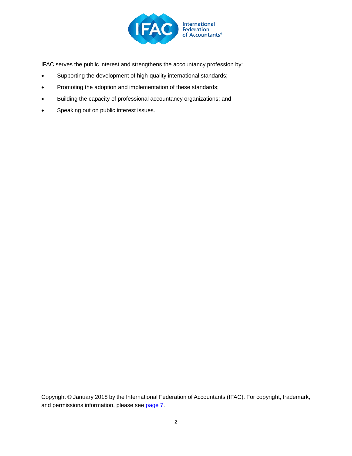

IFAC serves the public interest and strengthens the accountancy profession by:

- Supporting the development of high-quality international standards;
- Promoting the adoption and implementation of these standards;
- Building the capacity of professional accountancy organizations; and
- Speaking out on public interest issues.

Copyright © January 2018 by the International Federation of Accountants (IFAC). For copyright, trademark, and permissions information, please see [page 7.](#page-6-0)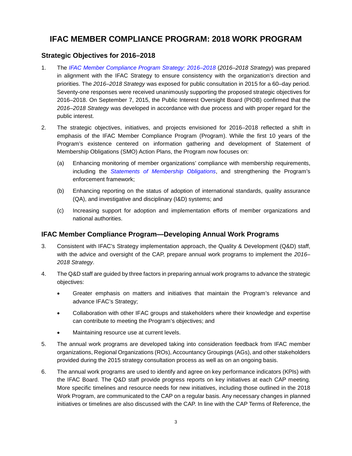### **IFAC MEMBER COMPLIANCE PROGRAM: 2018 WORK PROGRAM**

#### **Strategic Objectives for 2016–2018**

- 1. The *[IFAC Member Compliance Program Strategy: 2016–2018](http://www.ifac.org/publications-resources/ifac-member-compliance-program-strategy-2016-2018)* (*2016–2018 Strategy*) was prepared in alignment with the IFAC Strategy to ensure consistency with the organization's direction and priorities. The *2016–2018 Strategy* was exposed for public consultation in 2015 for a 60–day period. Seventy-one responses were received unanimously supporting the proposed strategic objectives for 2016–2018. On September 7, 2015, the Public Interest Oversight Board (PIOB) confirmed that the *2016–2018 Strategy* was developed in accordance with due process and with proper regard for the public interest.
- 2. The strategic objectives, initiatives, and projects envisioned for 2016–2018 reflected a shift in emphasis of the IFAC Member Compliance Program (Program). While the first 10 years of the Program's existence centered on information gathering and development of Statement of Membership Obligations (SMO) Action Plans, the Program now focuses on:
	- (a) Enhancing monitoring of member organizations' compliance with membership requirements, including the *[Statements of Membership Obligations](http://www.ifac.org/publications-resources/statements-membership-obligations-smos-1-7-revised)*, and strengthening the Program's enforcement framework;
	- (b) Enhancing reporting on the status of adoption of international standards, quality assurance (QA), and investigative and disciplinary (I&D) systems; and
	- (c) Increasing support for adoption and implementation efforts of member organizations and national authorities.

#### **IFAC Member Compliance Program—Developing Annual Work Programs**

- 3. Consistent with IFAC's Strategy implementation approach, the Quality & Development (Q&D) staff, with the advice and oversight of the CAP, prepare annual work programs to implement the *2016– 2018 Strategy*.
- 4. The Q&D staff are guided by three factors in preparing annual work programs to advance the strategic objectives:
	- Greater emphasis on matters and initiatives that maintain the Program's relevance and advance IFAC's Strategy;
	- Collaboration with other IFAC groups and stakeholders where their knowledge and expertise can contribute to meeting the Program's objectives; and
	- Maintaining resource use at current levels.
- 5. The annual work programs are developed taking into consideration feedback from IFAC member organizations, Regional Organizations (ROs), Accountancy Groupings (AGs), and other stakeholders provided during the 2015 strategy consultation process as well as on an ongoing basis.
- 6. The annual work programs are used to identify and agree on key performance indicators (KPIs) with the IFAC Board. The Q&D staff provide progress reports on key initiatives at each CAP meeting. More specific timelines and resource needs for new initiatives, including those outlined in the 2018 Work Program, are communicated to the CAP on a regular basis. Any necessary changes in planned initiatives or timelines are also discussed with the CAP. In line with the CAP Terms of Reference, the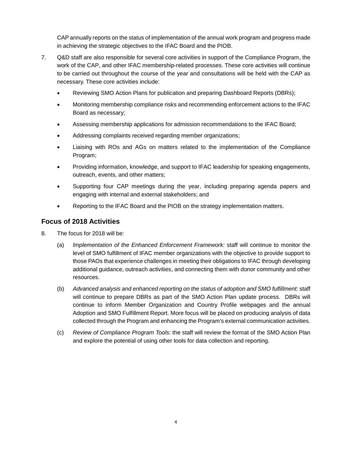CAP annually reports on the status of implementation of the annual work program and progress made in achieving the strategic objectives to the IFAC Board and the PIOB.

- 7. Q&D staff are also responsible for several core activities in support of the Compliance Program, the work of the CAP, and other IFAC membership-related processes. These core activities will continue to be carried out throughout the course of the year and consultations will be held with the CAP as necessary. These core activities include:
	- Reviewing SMO Action Plans for publication and preparing Dashboard Reports (DBRs);
	- Monitoring membership compliance risks and recommending enforcement actions to the IFAC Board as necessary;
	- Assessing membership applications for admission recommendations to the IFAC Board;
	- Addressing complaints received regarding member organizations;
	- Liaising with ROs and AGs on matters related to the implementation of the Compliance Program;
	- Providing information, knowledge, and support to IFAC leadership for speaking engagements, outreach, events, and other matters;
	- Supporting four CAP meetings during the year, including preparing agenda papers and engaging with internal and external stakeholders; and
	- Reporting to the IFAC Board and the PIOB on the strategy implementation matters.

#### **Focus of 2018 Activities**

- 8. The focus for 2018 will be:
	- (a) *Implementation of the Enhanced Enforcement Framework:* staff will continue to monitor the level of SMO fulfillment of IFAC member organizations with the objective to provide support to those PAOs that experience challenges in meeting their obligations to IFAC through developing additional guidance, outreach activities, and connecting them with donor community and other resources.
	- (b) *Advanced analysis and enhanced reporting on the status of adoption and SMO fulfillment:* staff will continue to prepare DBRs as part of the SMO Action Plan update process. DBRs will continue to inform Member Organization and Country Profile webpages and the annual Adoption and SMO Fulfillment Report. More focus will be placed on producing analysis of data collected through the Program and enhancing the Program's external communication activities.
	- (c) *Review of Compliance Program Tools*: the staff will review the format of the SMO Action Plan and explore the potential of using other tools for data collection and reporting.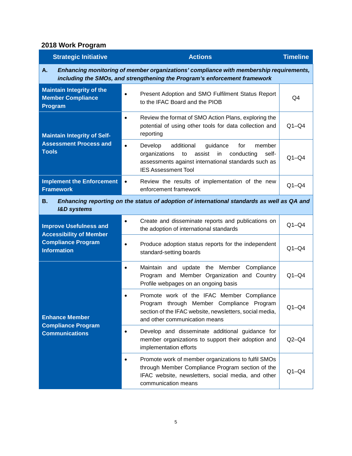## **2018 Work Program**

| <b>Strategic Initiative</b>                                                                                                                                               | <b>Actions</b>                                                                                                                                                                                                     | <b>Timeline</b> |  |
|---------------------------------------------------------------------------------------------------------------------------------------------------------------------------|--------------------------------------------------------------------------------------------------------------------------------------------------------------------------------------------------------------------|-----------------|--|
| Enhancing monitoring of member organizations' compliance with membership requirements,<br>Α.<br>including the SMOs, and strengthening the Program's enforcement framework |                                                                                                                                                                                                                    |                 |  |
| <b>Maintain Integrity of the</b><br><b>Member Compliance</b><br>Program                                                                                                   | Present Adoption and SMO Fulfilment Status Report<br>$\bullet$<br>to the IFAC Board and the PIOB                                                                                                                   | Q4              |  |
| <b>Maintain Integrity of Self-</b><br><b>Assessment Process and</b><br><b>Tools</b>                                                                                       | Review the format of SMO Action Plans, exploring the<br>$\bullet$<br>potential of using other tools for data collection and<br>reporting                                                                           | $Q1 - Q4$       |  |
|                                                                                                                                                                           | additional<br>member<br>Develop<br>guidance<br>$\bullet$<br>for<br>assist<br>conducting<br>organizations<br>to<br>in<br>self-<br>assessments against international standards such as<br><b>IES Assessment Tool</b> | $Q1 - Q4$       |  |
| <b>Implement the Enforcement</b><br><b>Framework</b>                                                                                                                      | Review the results of implementation of the new<br>$\bullet$<br>enforcement framework                                                                                                                              | $Q1 - Q4$       |  |
| Enhancing reporting on the status of adoption of international standards as well as QA and<br>В.<br><b>I&amp;D</b> systems                                                |                                                                                                                                                                                                                    |                 |  |
| <b>Improve Usefulness and</b><br><b>Accessibility of Member</b><br><b>Compliance Program</b><br><b>Information</b>                                                        | Create and disseminate reports and publications on<br>$\bullet$<br>the adoption of international standards                                                                                                         | $Q1-Q4$         |  |
|                                                                                                                                                                           | Produce adoption status reports for the independent<br>$\bullet$<br>standard-setting boards                                                                                                                        | $Q1 - Q4$       |  |
| <b>Enhance Member</b><br><b>Compliance Program</b><br><b>Communications</b>                                                                                               | Maintain and update the Member Compliance<br>$\bullet$<br>Program and Member Organization and Country<br>Profile webpages on an ongoing basis                                                                      | $Q1 - Q4$       |  |
|                                                                                                                                                                           | Promote work of the IFAC Member Compliance<br>$\bullet$<br>through Member Compliance Program<br>Program<br>section of the IFAC website, newsletters, social media,<br>and other communication means                | $Q1 - Q4$       |  |
|                                                                                                                                                                           | Develop and disseminate additional guidance for<br>$\bullet$<br>member organizations to support their adoption and<br>implementation efforts                                                                       | $Q2-Q4$         |  |
|                                                                                                                                                                           | Promote work of member organizations to fulfil SMOs<br>$\bullet$<br>through Member Compliance Program section of the<br>IFAC website, newsletters, social media, and other<br>communication means                  | $Q1 - Q4$       |  |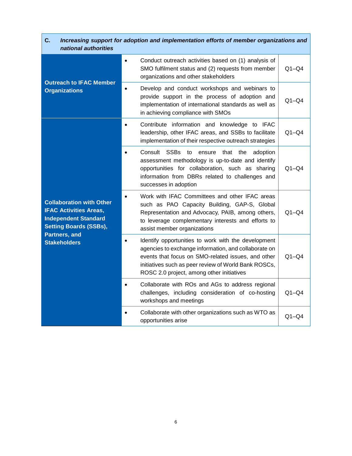| C.<br>Increasing support for adoption and implementation efforts of member organizations and<br>national authorities                                                     |                                                                                                                                                                                                                                                                                     |           |  |
|--------------------------------------------------------------------------------------------------------------------------------------------------------------------------|-------------------------------------------------------------------------------------------------------------------------------------------------------------------------------------------------------------------------------------------------------------------------------------|-----------|--|
| <b>Outreach to IFAC Member</b><br><b>Organizations</b>                                                                                                                   | Conduct outreach activities based on (1) analysis of<br>$\bullet$<br>SMO fulfilment status and (2) requests from member<br>organizations and other stakeholders                                                                                                                     | $Q1 - Q4$ |  |
|                                                                                                                                                                          | Develop and conduct workshops and webinars to<br>$\bullet$<br>provide support in the process of adoption and<br>implementation of international standards as well as<br>in achieving compliance with SMOs                                                                           | $Q1 - Q4$ |  |
| <b>Collaboration with Other</b><br><b>IFAC Activities Areas,</b><br><b>Independent Standard</b><br><b>Setting Boards (SSBs),</b><br>Partners, and<br><b>Stakeholders</b> | Contribute information and knowledge to IFAC<br>$\bullet$<br>leadership, other IFAC areas, and SSBs to facilitate<br>implementation of their respective outreach strategies                                                                                                         | $Q1 - Q4$ |  |
|                                                                                                                                                                          | Consult<br><b>SSBs</b><br>ensure<br>that<br>the<br>adoption<br>to<br>$\bullet$<br>assessment methodology is up-to-date and identify<br>opportunities for collaboration, such as sharing<br>information from DBRs related to challenges and<br>successes in adoption                 | $Q1 - Q4$ |  |
|                                                                                                                                                                          | Work with IFAC Committees and other IFAC areas<br>$\bullet$<br>such as PAO Capacity Building, GAP-S, Global<br>Representation and Advocacy, PAIB, among others,<br>to leverage complementary interests and efforts to<br>assist member organizations                                | $Q1 - Q4$ |  |
|                                                                                                                                                                          | Identify opportunities to work with the development<br>$\bullet$<br>agencies to exchange information, and collaborate on<br>events that focus on SMO-related issues, and other<br>initiatives such as peer review of World Bank ROSCs,<br>ROSC 2.0 project, among other initiatives | $Q1 - Q4$ |  |
|                                                                                                                                                                          | Collaborate with ROs and AGs to address regional<br>$\bullet$<br>challenges, including consideration of co-hosting<br>workshops and meetings                                                                                                                                        | $Q1 - Q4$ |  |
|                                                                                                                                                                          | Collaborate with other organizations such as WTO as<br>opportunities arise                                                                                                                                                                                                          | $Q1 - Q4$ |  |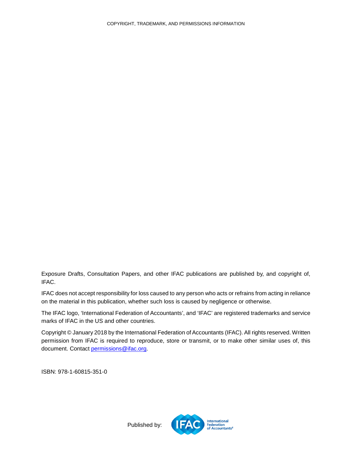<span id="page-6-0"></span>Exposure Drafts, Consultation Papers, and other IFAC publications are published by, and copyright of, IFAC.

IFAC does not accept responsibility for loss caused to any person who acts or refrains from acting in reliance on the material in this publication, whether such loss is caused by negligence or otherwise.

The IFAC logo, 'International Federation of Accountants', and 'IFAC' are registered trademarks and service marks of IFAC in the US and other countries.

Copyright © January 2018 by the International Federation of Accountants (IFAC). All rights reserved. Written permission from IFAC is required to reproduce, store or transmit, or to make other similar uses of, this document. Contact [permissions@ifac.org.](mailto:permissions@ifac.org)

ISBN: 978-1-60815-351-0



Published by: